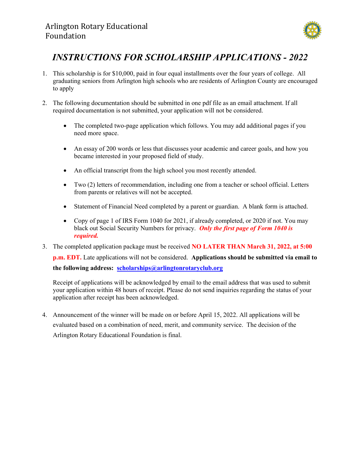

## INSTRUCTIONS FOR SCHOLARSHIP APPLICATIONS - 2022

- 1. This scholarship is for \$10,000, paid in four equal installments over the four years of college. All graduating seniors from Arlington high schools who are residents of Arlington County are encouraged to apply
- 2. The following documentation should be submitted in one pdf file as an email attachment. If all required documentation is not submitted, your application will not be considered.
	- The completed two-page application which follows. You may add additional pages if you need more space.
	- An essay of 200 words or less that discusses your academic and career goals, and how you became interested in your proposed field of study.
	- An official transcript from the high school you most recently attended.
	- Two (2) letters of recommendation, including one from a teacher or school official. Letters from parents or relatives will not be accepted.
	- Statement of Financial Need completed by a parent or guardian. A blank form is attached.
	- Copy of page 1 of IRS Form 1040 for 2021, if already completed, or 2020 if not. You may black out Social Security Numbers for privacy. Only the first page of Form 1040 is required.
- 3. The completed application package must be received **NO LATER THAN March 31, 2022, at 5:00** p.m. EDT. Late applications will not be considered. Applications should be submitted via email to the following address: scholarships@arlingtonrotaryclub.org

Receipt of applications will be acknowledged by email to the email address that was used to submit your application within 48 hours of receipt. Please do not send inquiries regarding the status of your application after receipt has been acknowledged.

4. Announcement of the winner will be made on or before April 15, 2022. All applications will be evaluated based on a combination of need, merit, and community service. The decision of the Arlington Rotary Educational Foundation is final.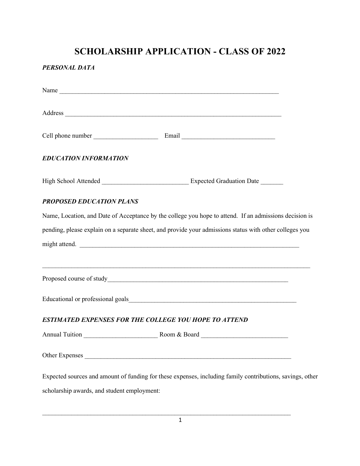# SCHOLARSHIP APPLICATION - CLASS OF 2022

#### PERSONAL DATA

| <b>EDUCATION INFORMATION</b>                                                                           |                                                                                                           |  |  |
|--------------------------------------------------------------------------------------------------------|-----------------------------------------------------------------------------------------------------------|--|--|
|                                                                                                        |                                                                                                           |  |  |
| <b>PROPOSED EDUCATION PLANS</b>                                                                        |                                                                                                           |  |  |
| Name, Location, and Date of Acceptance by the college you hope to attend. If an admissions decision is |                                                                                                           |  |  |
|                                                                                                        | pending, please explain on a separate sheet, and provide your admissions status with other colleges you   |  |  |
|                                                                                                        | might attend.                                                                                             |  |  |
|                                                                                                        |                                                                                                           |  |  |
|                                                                                                        |                                                                                                           |  |  |
|                                                                                                        |                                                                                                           |  |  |
|                                                                                                        | ESTIMATED EXPENSES FOR THE COLLEGE YOU HOPE TO ATTEND                                                     |  |  |
|                                                                                                        |                                                                                                           |  |  |
|                                                                                                        |                                                                                                           |  |  |
|                                                                                                        | Expected sources and amount of funding for these expenses, including family contributions, savings, other |  |  |
| scholarship awards, and student employment:                                                            |                                                                                                           |  |  |

1

 $\mathcal{L}_\mathcal{L} = \{ \mathcal{L}_\mathcal{L} = \{ \mathcal{L}_\mathcal{L} = \{ \mathcal{L}_\mathcal{L} = \{ \mathcal{L}_\mathcal{L} = \{ \mathcal{L}_\mathcal{L} = \{ \mathcal{L}_\mathcal{L} = \{ \mathcal{L}_\mathcal{L} = \{ \mathcal{L}_\mathcal{L} = \{ \mathcal{L}_\mathcal{L} = \{ \mathcal{L}_\mathcal{L} = \{ \mathcal{L}_\mathcal{L} = \{ \mathcal{L}_\mathcal{L} = \{ \mathcal{L}_\mathcal{L} = \{ \mathcal{L}_\mathcal{$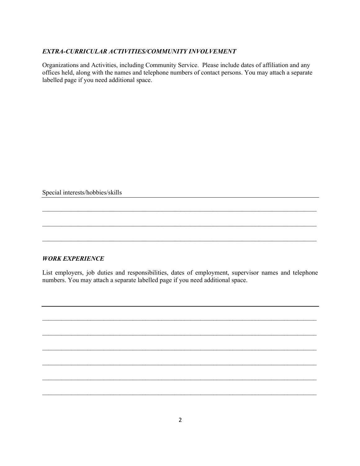#### EXTRA-CURRICULAR ACTIVITIES/COMMUNITY INVOLVEMENT

Organizations and Activities, including Community Service. Please include dates of affiliation and any offices held, along with the names and telephone numbers of contact persons. You may attach a separate labelled page if you need additional space.

Special interests/hobbies/skills

#### WORK EXPERIENCE

List employers, job duties and responsibilities, dates of employment, supervisor names and telephone numbers. You may attach a separate labelled page if you need additional space.

 $\mathcal{L}_\text{max} = \mathcal{L}_\text{max} = \mathcal{L}_\text{max} = \mathcal{L}_\text{max} = \mathcal{L}_\text{max} = \mathcal{L}_\text{max} = \mathcal{L}_\text{max} = \mathcal{L}_\text{max} = \mathcal{L}_\text{max} = \mathcal{L}_\text{max} = \mathcal{L}_\text{max} = \mathcal{L}_\text{max} = \mathcal{L}_\text{max} = \mathcal{L}_\text{max} = \mathcal{L}_\text{max} = \mathcal{L}_\text{max} = \mathcal{L}_\text{max} = \mathcal{L}_\text{max} = \mathcal{$ 

 $\mathcal{L}_\text{max} = \mathcal{L}_\text{max} = \mathcal{L}_\text{max} = \mathcal{L}_\text{max} = \mathcal{L}_\text{max} = \mathcal{L}_\text{max} = \mathcal{L}_\text{max} = \mathcal{L}_\text{max} = \mathcal{L}_\text{max} = \mathcal{L}_\text{max} = \mathcal{L}_\text{max} = \mathcal{L}_\text{max} = \mathcal{L}_\text{max} = \mathcal{L}_\text{max} = \mathcal{L}_\text{max} = \mathcal{L}_\text{max} = \mathcal{L}_\text{max} = \mathcal{L}_\text{max} = \mathcal{$ 

 $\mathcal{L}_\text{max} = \mathcal{L}_\text{max} = \mathcal{L}_\text{max} = \mathcal{L}_\text{max} = \mathcal{L}_\text{max} = \mathcal{L}_\text{max} = \mathcal{L}_\text{max} = \mathcal{L}_\text{max} = \mathcal{L}_\text{max} = \mathcal{L}_\text{max} = \mathcal{L}_\text{max} = \mathcal{L}_\text{max} = \mathcal{L}_\text{max} = \mathcal{L}_\text{max} = \mathcal{L}_\text{max} = \mathcal{L}_\text{max} = \mathcal{L}_\text{max} = \mathcal{L}_\text{max} = \mathcal{$ 

 $\mathcal{L}_\mathcal{L} = \{ \mathcal{L}_\mathcal{L} = \{ \mathcal{L}_\mathcal{L} = \{ \mathcal{L}_\mathcal{L} = \{ \mathcal{L}_\mathcal{L} = \{ \mathcal{L}_\mathcal{L} = \{ \mathcal{L}_\mathcal{L} = \{ \mathcal{L}_\mathcal{L} = \{ \mathcal{L}_\mathcal{L} = \{ \mathcal{L}_\mathcal{L} = \{ \mathcal{L}_\mathcal{L} = \{ \mathcal{L}_\mathcal{L} = \{ \mathcal{L}_\mathcal{L} = \{ \mathcal{L}_\mathcal{L} = \{ \mathcal{L}_\mathcal{$ 

 $\mathcal{L}_\mathcal{L} = \{ \mathcal{L}_\mathcal{L} = \{ \mathcal{L}_\mathcal{L} = \{ \mathcal{L}_\mathcal{L} = \{ \mathcal{L}_\mathcal{L} = \{ \mathcal{L}_\mathcal{L} = \{ \mathcal{L}_\mathcal{L} = \{ \mathcal{L}_\mathcal{L} = \{ \mathcal{L}_\mathcal{L} = \{ \mathcal{L}_\mathcal{L} = \{ \mathcal{L}_\mathcal{L} = \{ \mathcal{L}_\mathcal{L} = \{ \mathcal{L}_\mathcal{L} = \{ \mathcal{L}_\mathcal{L} = \{ \mathcal{L}_\mathcal{$ 

 $\mathcal{L}_\text{max} = \mathcal{L}_\text{max} = \mathcal{L}_\text{max} = \mathcal{L}_\text{max} = \mathcal{L}_\text{max} = \mathcal{L}_\text{max} = \mathcal{L}_\text{max} = \mathcal{L}_\text{max} = \mathcal{L}_\text{max} = \mathcal{L}_\text{max} = \mathcal{L}_\text{max} = \mathcal{L}_\text{max} = \mathcal{L}_\text{max} = \mathcal{L}_\text{max} = \mathcal{L}_\text{max} = \mathcal{L}_\text{max} = \mathcal{L}_\text{max} = \mathcal{L}_\text{max} = \mathcal{$ 

 $\mathcal{L}_\text{max} = \mathcal{L}_\text{max} = \mathcal{L}_\text{max} = \mathcal{L}_\text{max} = \mathcal{L}_\text{max} = \mathcal{L}_\text{max} = \mathcal{L}_\text{max} = \mathcal{L}_\text{max} = \mathcal{L}_\text{max} = \mathcal{L}_\text{max} = \mathcal{L}_\text{max} = \mathcal{L}_\text{max} = \mathcal{L}_\text{max} = \mathcal{L}_\text{max} = \mathcal{L}_\text{max} = \mathcal{L}_\text{max} = \mathcal{L}_\text{max} = \mathcal{L}_\text{max} = \mathcal{$ 

 $\mathcal{L}_\mathcal{L} = \{ \mathcal{L}_\mathcal{L} = \{ \mathcal{L}_\mathcal{L} = \{ \mathcal{L}_\mathcal{L} = \{ \mathcal{L}_\mathcal{L} = \{ \mathcal{L}_\mathcal{L} = \{ \mathcal{L}_\mathcal{L} = \{ \mathcal{L}_\mathcal{L} = \{ \mathcal{L}_\mathcal{L} = \{ \mathcal{L}_\mathcal{L} = \{ \mathcal{L}_\mathcal{L} = \{ \mathcal{L}_\mathcal{L} = \{ \mathcal{L}_\mathcal{L} = \{ \mathcal{L}_\mathcal{L} = \{ \mathcal{L}_\mathcal{$ 

 $\mathcal{L}_\text{max} = \mathcal{L}_\text{max} = \mathcal{L}_\text{max} = \mathcal{L}_\text{max} = \mathcal{L}_\text{max} = \mathcal{L}_\text{max} = \mathcal{L}_\text{max} = \mathcal{L}_\text{max} = \mathcal{L}_\text{max} = \mathcal{L}_\text{max} = \mathcal{L}_\text{max} = \mathcal{L}_\text{max} = \mathcal{L}_\text{max} = \mathcal{L}_\text{max} = \mathcal{L}_\text{max} = \mathcal{L}_\text{max} = \mathcal{L}_\text{max} = \mathcal{L}_\text{max} = \mathcal{$